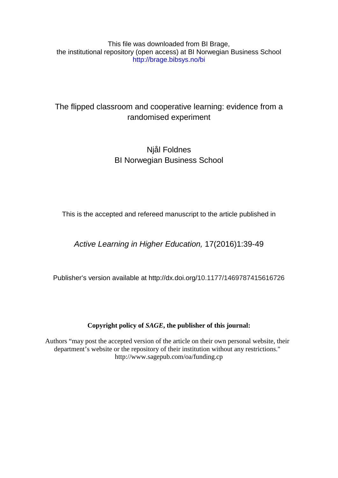This file was downloaded from BI Brage, the institutional repository (open access) at BI Norwegian Business School http://brage.bibsys.no/bi

# The flipped classroom and cooperative learning: evidence from a randomised experiment

# Njål Foldnes BI Norwegian Business School

This is the accepted and refereed manuscript to the article published in

*Active Learning in Higher Education,* 17(2016)1:39-49

Publisher's version available at http://dx.doi.org/10.1177/1469787415616726

## **Copyright policy of** *SAGE***, the publisher of this journal:**

Authors "may post the accepted version of the article on their own personal website, their department's website or the repository of their institution without any restrictions." http://www.sagepub.com/oa/funding.cp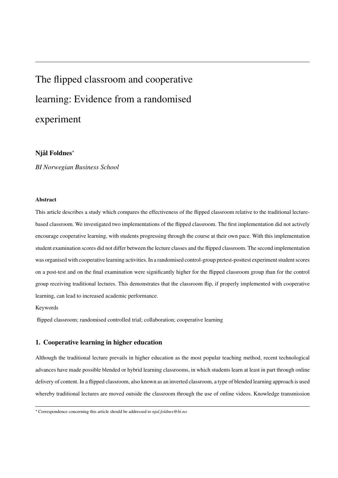# The flipped classroom and cooperative learning: Evidence from a randomised experiment

## Njål Foldnes<sup>∗</sup>

*BI Norwegian Business School*

#### Abstract

This article describes a study which compares the effectiveness of the flipped classroom relative to the traditional lecturebased classroom. We investigated two implementations of the flipped classroom. The first implementation did not actively encourage cooperative learning, with students progressing through the course at their own pace. With this implementation student examination scores did not differ between the lecture classes and the flipped classroom. The second implementation was organised with cooperative learning activities. In a randomised control-group pretest-posttest experiment student scores on a post-test and on the final examination were significantly higher for the flipped classroom group than for the control group receiving traditional lectures. This demonstrates that the classroom flip, if properly implemented with cooperative learning, can lead to increased academic performance.

Keywords

flipped classroom; randomised controlled trial; collaboration; cooperative learning

#### 1. Cooperative learning in higher education

Although the traditional lecture prevails in higher education as the most popular teaching method, recent technological advances have made possible blended or hybrid learning classrooms, in which students learn at least in part through online delivery of content. In a flipped classroom, also known as an inverted classroom, a type of blended learning approach is used whereby traditional lectures are moved outside the classroom through the use of online videos. Knowledge transmission

<sup>∗</sup>Correspondence concerning this article should be addressed to *njal.foldnes@bi.no*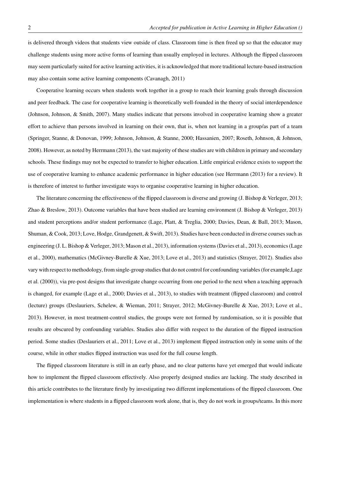is delivered through videos that students view outside of class. Classroom time is then freed up so that the educator may challenge students using more active forms of learning than usually employed in lectures. Although the flipped classroom may seem particularly suited for active learning activities, it is acknowledged that more traditional lecture-based instruction may also contain some active learning components (Cavanagh, 2011)

Cooperative learning occurs when students work together in a group to reach their learning goals through discussion and peer feedback. The case for cooperative learning is theoretically well-founded in the theory of social interdependence (Johnson, Johnson, & Smith, 2007). Many studies indicate that persons involved in cooperative learning show a greater effort to achieve than persons involved in learning on their own, that is, when not learning in a group/as part of a team (Springer, Stanne, & Donovan, 1999; Johnson, Johnson, & Stanne, 2000; Hassanien, 2007; Roseth, Johnson, & Johnson, 2008). However, as noted by Herrmann (2013), the vast majority of these studies are with children in primary and secondary schools. These findings may not be expected to transfer to higher education. Little empirical evidence exists to support the use of cooperative learning to enhance academic performance in higher education (see Herrmann (2013) for a review). It is therefore of interest to further investigate ways to organise cooperative learning in higher education.

The literature concerning the effectiveness of the flipped classroom is diverse and growing (J. Bishop & Verleger, 2013; Zhao & Breslow, 2013). Outcome variables that have been studied are learning environment (J. Bishop & Verleger, 2013) and student perceptions and/or student performance (Lage, Platt, & Treglia, 2000; Davies, Dean, & Ball, 2013; Mason, Shuman, & Cook, 2013; Love, Hodge, Grandgenett, & Swift, 2013). Studies have been conducted in diverse courses such as engineering (J. L. Bishop & Verleger, 2013; Mason et al., 2013), information systems (Davies et al., 2013), economics (Lage et al., 2000), mathematics (McGivney-Burelle & Xue, 2013; Love et al., 2013) and statistics (Strayer, 2012). Studies also vary with respect to methodology, from single-group studies that do not control for confounding variables (for example,Lage et al. (2000)), via pre-post designs that investigate change occurring from one period to the next when a teaching approach is changed, for example (Lage et al., 2000; Davies et al., 2013), to studies with treatment (flipped classroom) and control (lecture) groups (Deslauriers, Schelew, & Wieman, 2011; Strayer, 2012; McGivney-Burelle & Xue, 2013; Love et al., 2013). However, in most treatment-control studies, the groups were not formed by randomisation, so it is possible that results are obscured by confounding variables. Studies also differ with respect to the duration of the flipped instruction period. Some studies (Deslauriers et al., 2011; Love et al., 2013) implement flipped instruction only in some units of the course, while in other studies flipped instruction was used for the full course length.

The flipped classroom literature is still in an early phase, and no clear patterns have yet emerged that would indicate how to implement the flipped classroom effectively. Also properly designed studies are lacking. The study described in this article contributes to the literature firstly by investigating two different implementations of the flipped classroom. One implementation is where students in a flipped classroom work alone, that is, they do not work in groups/teams. In this more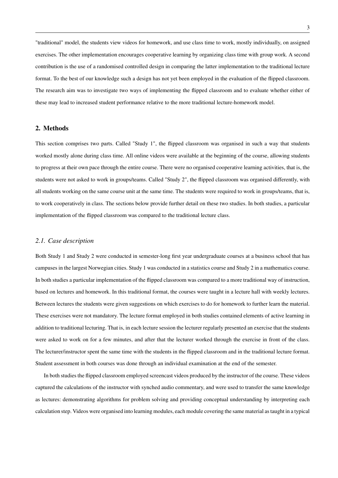"traditional" model, the students view videos for homework, and use class time to work, mostly individually, on assigned exercises. The other implementation encourages cooperative learning by organizing class time with group work. A second contribution is the use of a randomised controlled design in comparing the latter implementation to the traditional lecture format. To the best of our knowledge such a design has not yet been employed in the evaluation of the flipped classroom. The research aim was to investigate two ways of implementing the flipped classroom and to evaluate whether either of these may lead to increased student performance relative to the more traditional lecture-homework model.

#### 2. Methods

This section comprises two parts. Called "Study 1", the flipped classroom was organised in such a way that students worked mostly alone during class time. All online videos were available at the beginning of the course, allowing students to progress at their own pace through the entire course. There were no organised cooperative learning activities, that is, the students were not asked to work in groups/teams. Called "Study 2", the flipped classroom was organised differently, with all students working on the same course unit at the same time. The students were required to work in groups/teams, that is, to work cooperatively in class. The sections below provide further detail on these two studies. In both studies, a particular implementation of the flipped classroom was compared to the traditional lecture class.

#### *2.1. Case description*

Both Study 1 and Study 2 were conducted in semester-long first year undergraduate courses at a business school that has campuses in the largest Norwegian cities. Study 1 was conducted in a statistics course and Study 2 in a mathematics course. In both studies a particular implementation of the flipped classroom was compared to a more traditional way of instruction, based on lectures and homework. In this traditional format, the courses were taught in a lecture hall with weekly lectures. Between lectures the students were given suggestions on which exercises to do for homework to further learn the material. These exercises were not mandatory. The lecture format employed in both studies contained elements of active learning in addition to traditional lecturing. That is, in each lecture session the lecturer regularly presented an exercise that the students were asked to work on for a few minutes, and after that the lecturer worked through the exercise in front of the class. The lecturer/instructor spent the same time with the students in the flipped classroom and in the traditional lecture format. Student assessment in both courses was done through an individual examination at the end of the semester.

In both studies the flipped classroom employed screencast videos produced by the instructor of the course. These videos captured the calculations of the instructor with synched audio commentary, and were used to transfer the same knowledge as lectures: demonstrating algorithms for problem solving and providing conceptual understanding by interpreting each calculation step. Videos were organised into learning modules, each module covering the same material as taught in a typical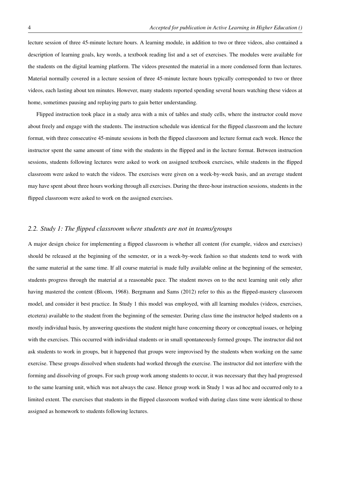lecture session of three 45-minute lecture hours. A learning module, in addition to two or three videos, also contained a description of learning goals, key words, a textbook reading list and a set of exercises. The modules were available for the students on the digital learning platform. The videos presented the material in a more condensed form than lectures. Material normally covered in a lecture session of three 45-minute lecture hours typically corresponded to two or three videos, each lasting about ten minutes. However, many students reported spending several hours watching these videos at home, sometimes pausing and replaying parts to gain better understanding.

Flipped instruction took place in a study area with a mix of tables and study cells, where the instructor could move about freely and engage with the students. The instruction schedule was identical for the flipped classroom and the lecture format, with three consecutive 45-minute sessions in both the flipped classroom and lecture format each week. Hence the instructor spent the same amount of time with the students in the flipped and in the lecture format. Between instruction sessions, students following lectures were asked to work on assigned textbook exercises, while students in the flipped classroom were asked to watch the videos. The exercises were given on a week-by-week basis, and an average student may have spent about three hours working through all exercises. During the three-hour instruction sessions, students in the flipped classroom were asked to work on the assigned exercises.

## *2.2. Study 1: The flipped classroom where students are not in teams/groups*

A major design choice for implementing a flipped classroom is whether all content (for example, videos and exercises) should be released at the beginning of the semester, or in a week-by-week fashion so that students tend to work with the same material at the same time. If all course material is made fully available online at the beginning of the semester, students progress through the material at a reasonable pace. The student moves on to the next learning unit only after having mastered the content (Bloom, 1968). Bergmann and Sams (2012) refer to this as the flipped-mastery classroom model, and consider it best practice. In Study 1 this model was employed, with all learning modules (videos, exercises, etcetera) available to the student from the beginning of the semester. During class time the instructor helped students on a mostly individual basis, by answering questions the student might have concerning theory or conceptual issues, or helping with the exercises. This occurred with individual students or in small spontaneously formed groups. The instructor did not ask students to work in groups, but it happened that groups were improvised by the students when working on the same exercise. These groups dissolved when students had worked through the exercise. The instructor did not interfere with the forming and dissolving of groups. For such group work among students to occur, it was necessary that they had progressed to the same learning unit, which was not always the case. Hence group work in Study 1 was ad hoc and occurred only to a limited extent. The exercises that students in the flipped classroom worked with during class time were identical to those assigned as homework to students following lectures.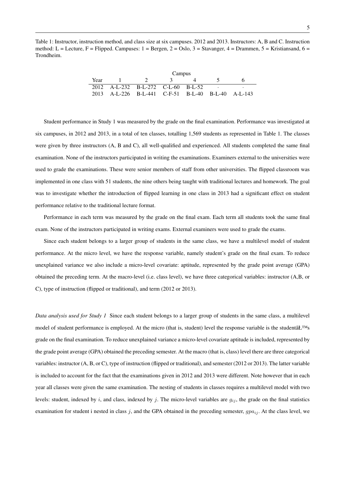Table 1: Instructor, instruction method, and class size at six campuses. 2012 and 2013. Instructors: A, B and C. Instruction method: L = Lecture, F = Flipped. Campuses:  $1 = \text{Bergen}, 2 = \text{Oslo}, 3 = \text{Stavanger}, 4 = \text{Drammen}, 5 = \text{Kristiansand}, 6 = \text{O}$ Trondheim.

|      | Campus                                            |  |  |  |  |  |
|------|---------------------------------------------------|--|--|--|--|--|
| Year |                                                   |  |  |  |  |  |
|      | 2012 A-L-232 B-L-272 C-L-60 B-L-52                |  |  |  |  |  |
|      | 2013 A-L-226 B-L-441 C-F-51 B-L-40 B-L-40 A-L-143 |  |  |  |  |  |

Student performance in Study 1 was measured by the grade on the final examination. Performance was investigated at six campuses, in 2012 and 2013, in a total of ten classes, totalling 1,569 students as represented in Table 1. The classes were given by three instructors (A, B and C), all well-qualified and experienced. All students completed the same final examination. None of the instructors participated in writing the examinations. Examiners external to the universities were used to grade the examinations. These were senior members of staff from other universities. The flipped classroom was implemented in one class with 51 students, the nine others being taught with traditional lectures and homework. The goal was to investigate whether the introduction of flipped learning in one class in 2013 had a significant effect on student performance relative to the traditional lecture format.

Performance in each term was measured by the grade on the final exam. Each term all students took the same final exam. None of the instructors participated in writing exams. External examiners were used to grade the exams.

Since each student belongs to a larger group of students in the same class, we have a multilevel model of student performance. At the micro level, we have the response variable, namely student's grade on the final exam. To reduce unexplained variance we also include a micro-level covariate: aptitude, represented by the grade point average (GPA) obtained the preceding term. At the macro-level (i.e. class level), we have three categorical variables: instructor (A,B, or C), type of instruction (flipped or traditional), and term (2012 or 2013).

*Data analysis used for Study 1* Since each student belongs to a larger group of students in the same class, a multilevel model of student performance is employed. At the micro (that is, student) level the response variable is the studentâ $E^{TM}$ s grade on the final examination. To reduce unexplained variance a micro-level covariate aptitude is included, represented by the grade point average (GPA) obtained the preceding semester. At the macro (that is, class) level there are three categorical variables: instructor (A, B, or C), type of instruction (flipped or traditional), and semester (2012 or 2013). The latter variable is included to account for the fact that the examinations given in 2012 and 2013 were different. Note however that in each year all classes were given the same examination. The nesting of students in classes requires a multilevel model with two levels: student, indexed by i, and class, indexed by j. The micro-level variables are  $g_{ij}$ , the grade on the final statistics examination for student i nested in class j, and the GPA obtained in the preceding semester,  $gpa_{ij}$ . At the class level, we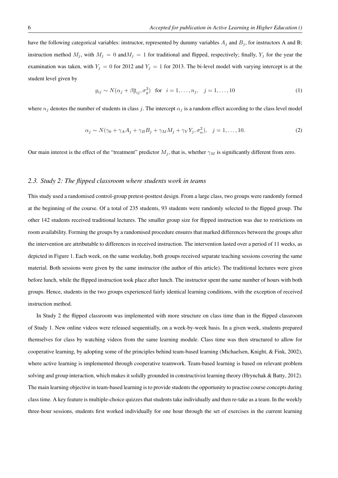have the following categorical variables: instructor, represented by dummy variables  $A_j$  and  $B_j$ , for instructors A and B; instruction method  $M_j$ , with  $M_j = 0$  and  $M_j = 1$  for traditional and flipped, respectively; finally,  $Y_j$  for the year the examination was taken, with  $Y_j = 0$  for 2012 and  $Y_j = 1$  for 2013. The bi-level model with varying intercept is at the student level given by

$$
g_{ij} \sim N(\alpha_j + \beta \overline{g}_{ij}, \sigma_g^2) \quad \text{for} \quad i = 1, \dots, n_j, \quad j = 1, \dots, 10 \tag{1}
$$

where  $n_j$  denotes the number of students in class j. The intercept  $\alpha_j$  is a random effect according to the class level model

$$
\alpha_j \sim N(\gamma_0 + \gamma_A A_j + \gamma_B B_j + \gamma_M M_j + \gamma_Y Y_j, \sigma_\alpha^2), \quad j = 1, \dots, 10.
$$
 (2)

Our main interest is the effect of the "treatment" predictor  $M_j$ , that is, whether  $\gamma_M$  is significantly different from zero.

#### *2.3. Study 2: The flipped classroom where students work in teams*

This study used a randomised control-group pretest-posttest design. From a large class, two groups were randomly formed at the beginning of the course. Of a total of 235 students, 93 students were randomly selected to the flipped group. The other 142 students received traditional lectures. The smaller group size for flipped instruction was due to restrictions on room availability. Forming the groups by a randomised procedure ensures that marked differences between the groups after the intervention are attributable to differences in received instruction. The intervention lasted over a period of 11 weeks, as depicted in Figure 1. Each week, on the same weekday, both groups received separate teaching sessions covering the same material. Both sessions were given by the same instructor (the author of this article). The traditional lectures were given before lunch, while the flipped instruction took place after lunch. The instructor spent the same number of hours with both groups. Hence, students in the two groups experienced fairly identical learning conditions, with the exception of received instruction method.

In Study 2 the flipped classroom was implemented with more structure on class time than in the flipped classroom of Study 1. New online videos were released sequentially, on a week-by-week basis. In a given week, students prepared themselves for class by watching videos from the same learning module. Class time was then structured to allow for cooperative learning, by adopting some of the principles behind team-based learning (Michaelsen, Knight, & Fink, 2002), where active learning is implemented through cooperative teamwork. Team-based learning is based on relevant problem solving and group interaction, which makes it solidly grounded in constructivist learning theory (Hrynchak & Batty, 2012). The main learning objective in team-based learning is to provide students the opportunity to practise course concepts during class time. A key feature is multiple-choice quizzes that students take individually and then re-take as a team. In the weekly three-hour sessions, students first worked individually for one hour through the set of exercises in the current learning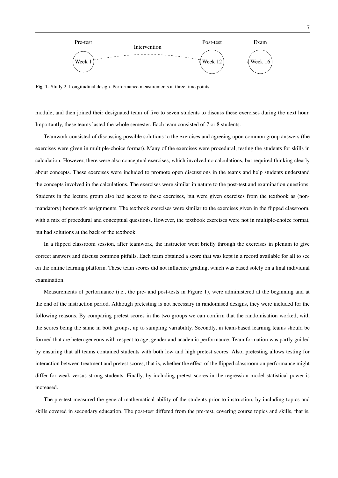

Fig. 1. Study 2: Longitudinal design. Performance measurements at three time points.

module, and then joined their designated team of five to seven students to discuss these exercises during the next hour. Importantly, these teams lasted the whole semester. Each team consisted of 7 or 8 students.

Teamwork consisted of discussing possible solutions to the exercises and agreeing upon common group answers (the exercises were given in multiple-choice format). Many of the exercises were procedural, testing the students for skills in calculation. However, there were also conceptual exercises, which involved no calculations, but required thinking clearly about concepts. These exercises were included to promote open discussions in the teams and help students understand the concepts involved in the calculations. The exercises were similar in nature to the post-test and examination questions. Students in the lecture group also had access to these exercises, but were given exercises from the textbook as (nonmandatory) homework assignments. The textbook exercises were similar to the exercises given in the flipped classroom, with a mix of procedural and conceptual questions. However, the textbook exercises were not in multiple-choice format, but had solutions at the back of the textbook.

In a flipped classroom session, after teamwork, the instructor went briefly through the exercises in plenum to give correct answers and discuss common pitfalls. Each team obtained a score that was kept in a record available for all to see on the online learning platform. These team scores did not influence grading, which was based solely on a final individual examination.

Measurements of performance (i.e., the pre- and post-tests in Figure 1), were administered at the beginning and at the end of the instruction period. Although pretesting is not necessary in randomised designs, they were included for the following reasons. By comparing pretest scores in the two groups we can confirm that the randomisation worked, with the scores being the same in both groups, up to sampling variability. Secondly, in team-based learning teams should be formed that are heterogeneous with respect to age, gender and academic performance. Team formation was partly guided by ensuring that all teams contained students with both low and high pretest scores. Also, pretesting allows testing for interaction between treatment and pretest scores, that is, whether the effect of the flipped classroom on performance might differ for weak versus strong students. Finally, by including pretest scores in the regression model statistical power is increased.

The pre-test measured the general mathematical ability of the students prior to instruction, by including topics and skills covered in secondary education. The post-test differed from the pre-test, covering course topics and skills, that is,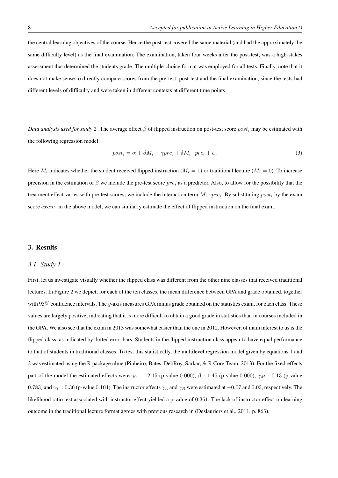the central learning objectives of the course. Hence the post-test covered the same material (and had the approximately the same difficulty level) as the final examination. The examination, taken four weeks after the post-test, was a high-stakes assessment that determined the students grade. The multiple-choice format was employed for all tests. Finally, note that it does not make sense to directly compare scores from the pre-test, post-test and the final examination, since the tests had different levels of difficulty and were taken in different contexts at different time points.

*Data analysis used for study 2* The average effect  $\beta$  of flipped instruction on post-test score *post<sub>i</sub>* may be estimated with the following regression model:

$$
post_i = \alpha + \beta M_i + \gamma pre_i + \delta M_i \cdot pre_i + \epsilon_i. \tag{3}
$$

Here  $M_i$  indicates whether the student received flipped instruction ( $M_i = 1$ ) or traditional lecture ( $M_i = 0$ ). To increase precision in the estimation of  $\beta$  we include the pre-test score  $pre_i$  as a predictor. Also, to allow for the possibility that the treatment effect varies with pre-test scores, we include the interaction term  $M_i \cdot pre_i$ . By substituting  $post_i$  by the exam score  $exam_i$  in the above model, we can similarly estimate the effect of flipped instruction on the final exam.

#### 3. Results

#### *3.1. Study 1*

First, let us investigate visually whether the flipped class was different from the other nine classes that received traditional lectures. In Figure 2 we depict, for each of the ten classes, the mean difference between GPA and grade obtained, together with  $95\%$  confidence intervals. The y-axis measures GPA minus grade obtained on the statistics exam, for each class. These values are largely positive, indicating that it is more difficult to obtain a good grade in statistics than in courses included in the GPA. We also see that the exam in 2013 was somewhat easier than the one in 2012. However, of main interest to us is the flipped class, as indicated by dotted error bars. Students in the flipped instruction class appear to have equal performance to that of students in traditional classes. To test this statistically, the multilevel regression model given by equations 1 and 2 was estimated using the R package nlme (Pinheiro, Bates, DebRoy, Sarkar, & R Core Team, 2013). For the fixed-effects part of the model the estimated effects were  $\gamma_0$  : -2.15 (p-value 0.000),  $\beta$  : 1.45 (p-value 0.000),  $\gamma_M$  : 0.13 (p-value 0.783) and  $\gamma_Y : 0.36$  (p-value 0.104). The instructor effects  $\gamma_A$  and  $\gamma_B$  were estimated at  $-0.07$  and 0.03, respectively. The likelihood ratio test associated with instructor effect yielded a p-value of 0.361. The lack of instructor effect on learning outcome in the traditional lecture format agrees with previous research in (Deslauriers et al., 2011, p. 863).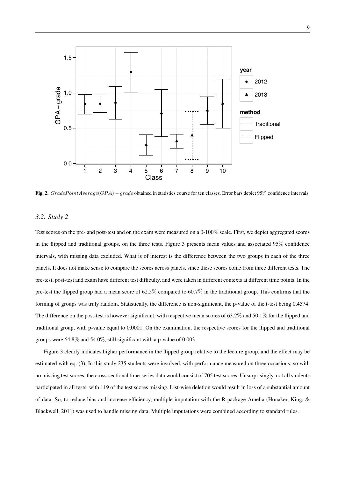

Fig. 2.  $GradePointAverage(GPA) - grade$  obtained in statistics course for ten classes. Error bars depict 95% confidence intervals.

#### *3.2. Study 2*

Test scores on the pre- and post-test and on the exam were measured on a 0-100% scale. First, we depict aggregated scores in the flipped and traditional groups, on the three tests. Figure 3 presents mean values and associated 95% confidence intervals, with missing data excluded. What is of interest is the difference between the two groups in each of the three panels. It does not make sense to compare the scores across panels, since these scores come from three different tests. The pre-test, post-test and exam have different test difficulty, and were taken in different contexts at different time points. In the pre-test the flipped group had a mean score of 62.5% compared to 60.7% in the traditional group. This confirms that the forming of groups was truly random. Statistically, the difference is non-significant, the p-value of the t-test being 0.4574. The difference on the post-test is however significant, with respective mean scores of 63.2% and 50.1% for the flipped and traditional group, with p-value equal to 0.0001. On the examination, the respective scores for the flipped and traditional groups were 64.8% and 54.0%, still significant with a p-value of 0.003.

Figure 3 clearly indicates higher performance in the flipped group relative to the lecture group, and the effect may be estimated with eq. (3). In this study 235 students were involved, with performance measured on three occasions; so with no missing test scores, the cross-sectional time-series data would consist of 705 test scores. Unsurprisingly, not all students participated in all tests, with 119 of the test scores missing. List-wise deletion would result in loss of a substantial amount of data. So, to reduce bias and increase efficiency, multiple imputation with the R package Amelia (Honaker, King, & Blackwell, 2011) was used to handle missing data. Multiple imputations were combined according to standard rules.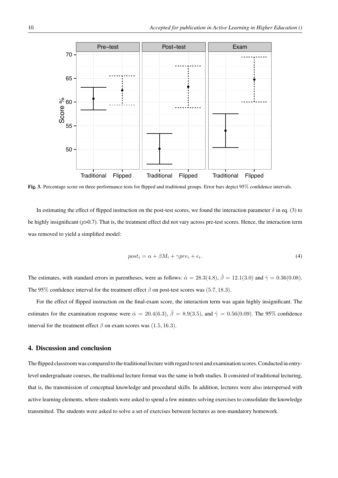

Fig. 3. Percentage score on three performance tests for flipped and traditional groups. Error bars depict 95% confidence intervals.

In estimating the effect of flipped instruction on the post-test scores, we found the interaction parameter  $\delta$  in eq. (3) to be highly insignificant ( $p>0.7$ ). That is, the treatment effect did not vary across pre-test scores. Hence, the interaction term was removed to yield a simplified model:

$$
post_i = \alpha + \beta M_i + \gamma pre_i + \epsilon_i. \tag{4}
$$

The estimates, with standard errors in parentheses, were as follows:  $\hat{\alpha} = 28.3(4.8), \hat{\beta} = 12.1(3.0)$  and  $\hat{\gamma} = 0.36(0.08)$ . The 95% confidence interval for the treatment effect  $\beta$  on post-test scores was (5.7, 18.3).

For the effect of flipped instruction on the final-exam score, the interaction term was again highly insignificant. The estimates for the examination response were  $\hat{\alpha} = 20.4(6.3), \hat{\beta} = 8.9(3.5),$  and  $\hat{\gamma} = 0.56(0.09)$ . The 95% confidence interval for the treatment effect  $\beta$  on exam scores was (1.5, 16.3).

#### 4. Discussion and conclusion

The flipped classroom was compared to the traditional lecture with regard to test and examination scores. Conducted in entrylevel undergraduate courses, the traditional lecture format was the same in both studies. It consisted of traditional lecturing, that is, the transmission of conceptual knowledge and procedural skills. In addition, lectures were also interspersed with active learning elements, where students were asked to spend a few minutes solving exercises to consolidate the knowledge transmitted. The students were asked to solve a set of exercises between lectures as non-mandatory homework.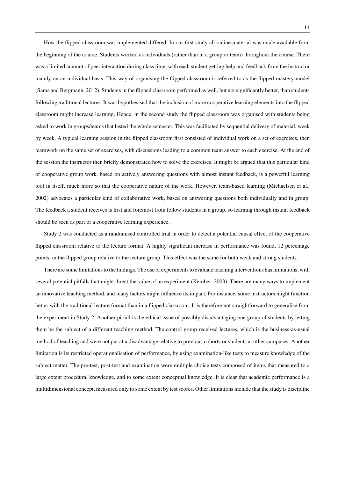How the flipped classroom was implemented differed. In our first study all online material was made available from the beginning of the course. Students worked as individuals (rather than in a group or team) throughout the course. There was a limited amount of peer interaction during class time, with each student getting help and feedback from the instructor mainly on an individual basis. This way of organising the flipped classroom is referred to as the flipped-mastery model (Sams and Bergmann, 2012). Students in the flipped classroom performed as well, but not significantly better, than students following traditional lectures. It was hypothesised that the inclusion of more cooperative learning elements into the flipped classroom might increase learning. Hence, in the second study the flipped classroom was organised with students being asked to work in groups/teams that lasted the whole semester. This was facilitated by sequential delivery of material, week by week. A typical learning session in the flipped classroom first consisted of individual work on a set of exercises, then teamwork on the same set of exercises, with discussions leading to a common team answer to each exercise. At the end of the session the instructor then briefly demonstrated how to solve the exercises. It might be argued that this particular kind of cooperative group work, based on actively answering questions with almost instant feedback, is a powerful learning tool in itself, much more so that the cooperative nature of the work. However, team-based learning (Michaelsen et al., 2002) advocates a particular kind of collaborative work, based on answering questions both individually and in group. The feedback a student receives is first and foremost from fellow students in a group, so learning through instant feedback should be seen as part of a cooperative learning experience.

Study 2 was conducted as a randomised controlled trial in order to detect a potential causal effect of the cooperative flipped classroom relative to the lecture format. A highly significant increase in performance was found, 12 percentage points, in the flipped group relative to the lecture group. This effect was the same for both weak and strong students.

There are some limitations to the findings. The use of experiments to evaluate teaching interventions has limitations, with several potential pitfalls that might threat the value of an experiment (Kember, 2003). There are many ways to implement an innovative teaching method, and many factors might influence its impact. For instance, some instructors might function better with the traditional lecture format than in a flipped classroom. It is therefore not straightforward to generalise from the experiment in Study 2. Another pitfall is the ethical issue of possibly disadvantaging one group of students by letting them be the subject of a different teaching method. The control group received lectures, which is the business-as-usual method of teaching and were not put at a disadvantage relative to previous cohorts or students at other campuses. Another limitation is its restricted operationalisation of performance, by using examination-like tests to measure knowledge of the subject matter. The pre-test, post-test and examination were multiple choice tests composed of items that measured to a large extent procedural knowledge, and to some extent conceptual knowledge. It is clear that academic performance is a multidimensional concept, measured only to some extent by test scores. Other limitations include that the study is discipline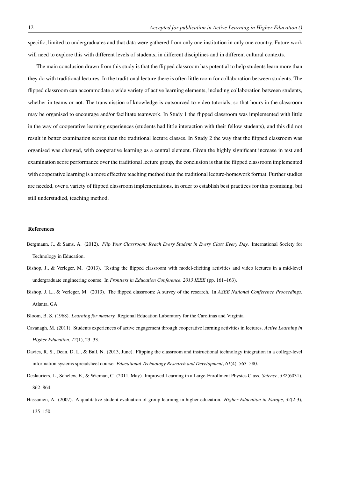specific, limited to undergraduates and that data were gathered from only one institution in only one country. Future work will need to explore this with different levels of students, in different disciplines and in different cultural contexts.

The main conclusion drawn from this study is that the flipped classroom has potential to help students learn more than they do with traditional lectures. In the traditional lecture there is often little room for collaboration between students. The flipped classroom can accommodate a wide variety of active learning elements, including collaboration between students, whether in teams or not. The transmission of knowledge is outsourced to video tutorials, so that hours in the classroom may be organised to encourage and/or facilitate teamwork. In Study 1 the flipped classroom was implemented with little in the way of cooperative learning experiences (students had little interaction with their fellow students), and this did not result in better examination scores than the traditional lecture classes. In Study 2 the way that the flipped classroom was organised was changed, with cooperative learning as a central element. Given the highly significant increase in test and examination score performance over the traditional lecture group, the conclusion is that the flipped classroom implemented with cooperative learning is a more effective teaching method than the traditional lecture-homework format. Further studies are needed, over a variety of flipped classroom implementations, in order to establish best practices for this promising, but still understudied, teaching method.

#### References

- Bergmann, J., & Sams, A. (2012). *Flip Your Classroom: Reach Every Student in Every Class Every Day*. International Society for Technology in Education.
- Bishop, J., & Verleger, M. (2013). Testing the flipped classroom with model-eliciting activities and video lectures in a mid-level undergraduate engineering course. In *Frontiers in Education Conference, 2013 IEEE* (pp. 161–163).
- Bishop, J. L., & Verleger, M. (2013). The flipped classroom: A survey of the research. In *ASEE National Conference Proceedings.* Atlanta, GA.
- Bloom, B. S. (1968). *Learning for mastery.* Regional Education Laboratory for the Carolinas and Virginia.
- Cavanagh, M. (2011). Students experiences of active engagement through cooperative learning activities in lectures. *Active Learning in Higher Education*, *12*(1), 23–33.
- Davies, R. S., Dean, D. L., & Ball, N. (2013, June). Flipping the classroom and instructional technology integration in a college-level information systems spreadsheet course. *Educational Technology Research and Development*, *61*(4), 563–580.
- Deslauriers, L., Schelew, E., & Wieman, C. (2011, May). Improved Learning in a Large-Enrollment Physics Class. *Science*, *332*(6031), 862–864.
- Hassanien, A. (2007). A qualitative student evaluation of group learning in higher education. *Higher Education in Europe*, *32*(2-3), 135–150.